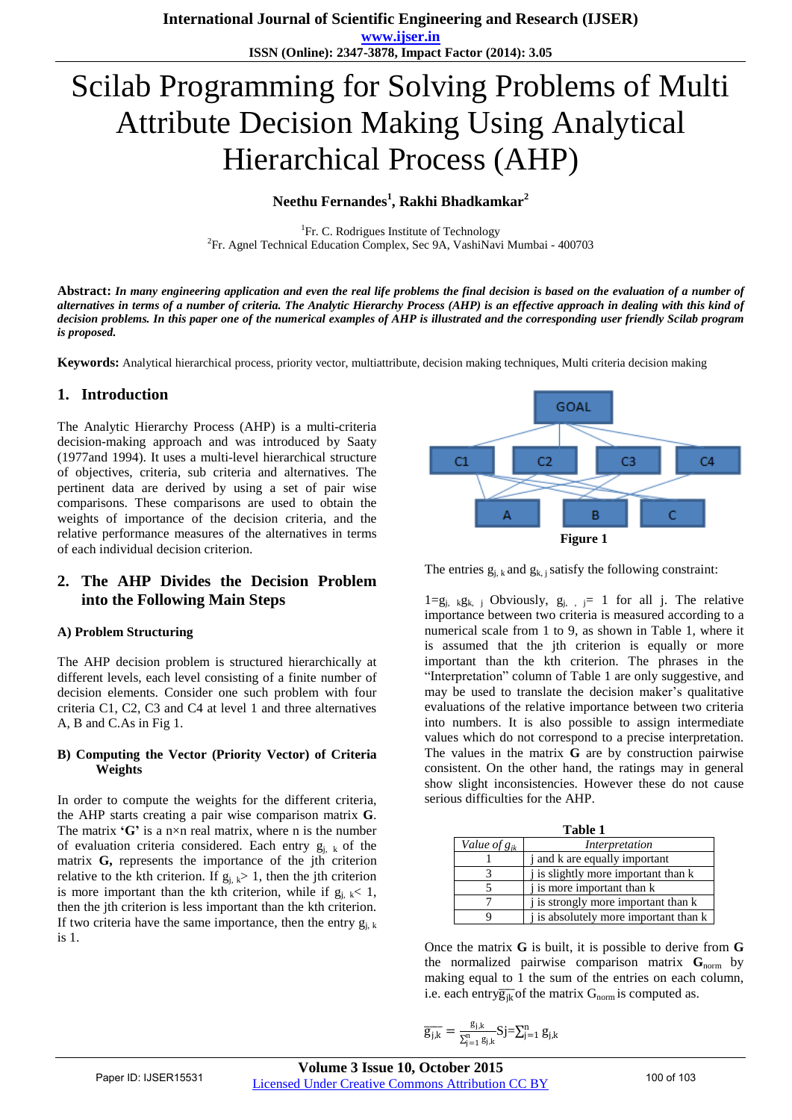# Scilab Programming for Solving Problems of Multi Attribute Decision Making Using Analytical Hierarchical Process (AHP)

# **Neethu Fernandes<sup>1</sup> , Rakhi Bhadkamkar<sup>2</sup>**

<sup>1</sup>Fr. C. Rodrigues Institute of Technology <sup>2</sup>Fr. Agnel Technical Education Complex, Sec 9A, VashiNavi Mumbai - 400703

**Abstract:** *In many engineering application and even the real life problems the final decision is based on the evaluation of a number of alternatives in terms of a number of criteria. The Analytic Hierarchy Process (AHP) is an effective approach in dealing with this kind of decision problems. In this paper one of the numerical examples of AHP is illustrated and the corresponding user friendly Scilab program is proposed.*

**Keywords:** Analytical hierarchical process, priority vector, multiattribute, decision making techniques, Multi criteria decision making

## **1. Introduction**

The Analytic Hierarchy Process (AHP) is a multi-criteria decision-making approach and was introduced by Saaty (1977and 1994). It uses a multi-level hierarchical structure of objectives, criteria, sub criteria and alternatives. The pertinent data are derived by using a set of pair wise comparisons. These comparisons are used to obtain the weights of importance of the decision criteria, and the relative performance measures of the alternatives in terms of each individual decision criterion.

## **2. The AHP Divides the Decision Problem into the Following Main Steps**

## **A) Problem Structuring**

The AHP decision problem is structured hierarchically at different levels, each level consisting of a finite number of decision elements. Consider one such problem with four criteria C1, C2, C3 and C4 at level 1 and three alternatives A, B and C.As in Fig 1.

#### **B) Computing the Vector (Priority Vector) of Criteria Weights**

In order to compute the weights for the different criteria, the AHP starts creating a pair wise comparison matrix **G**. The matrix **'G'** is a n×n real matrix, where n is the number of evaluation criteria considered. Each entry  $g_{i, k}$  of the matrix G, represents the importance of the jth criterion relative to the kth criterion. If  $g_{j, k} > 1$ , then the jth criterion is more important than the kth criterion, while if  $g_{i,k} < 1$ , then the jth criterion is less important than the kth criterion. If two criteria have the same importance, then the entry  $g_{i, k}$ is 1.



The entries  $g_{i, k}$  and  $g_{k, j}$  satisfy the following constraint:

 $1=g_{j, k}g_{k, j}$  Obviously,  $g_{j, j} = 1$  for all j. The relative importance between two criteria is measured according to a numerical scale from 1 to 9, as shown in Table 1, where it is assumed that the jth criterion is equally or more important than the kth criterion. The phrases in the "Interpretation" column of Table 1 are only suggestive, and may be used to translate the decision maker"s qualitative evaluations of the relative importance between two criteria into numbers. It is also possible to assign intermediate values which do not correspond to a precise interpretation. The values in the matrix **G** are by construction pairwise consistent. On the other hand, the ratings may in general show slight inconsistencies. However these do not cause serious difficulties for the AHP.

| Table 1                  |                                       |  |  |  |  |  |
|--------------------------|---------------------------------------|--|--|--|--|--|
| Value of g <sub>ik</sub> | Interpretation                        |  |  |  |  |  |
|                          | j and k are equally important         |  |  |  |  |  |
|                          | j is slightly more important than k   |  |  |  |  |  |
|                          | i is more important than k            |  |  |  |  |  |
|                          | j is strongly more important than k   |  |  |  |  |  |
|                          | j is absolutely more important than k |  |  |  |  |  |

Once the matrix **G** is built, it is possible to derive from **G**  the normalized pairwise comparison matrix G<sub>norm</sub> by making equal to 1 the sum of the entries on each column, i.e. each entry $\overline{g_{ik}}$  of the matrix  $G_{norm}$  is computed as.

$$
\overline{g_{j,k}}=\tfrac{g_{j,k}}{\Sigma_{j=1}^n\,g_{j,k}}Sj\overline{-\Sigma_{j=1}^n\,g_{j,k}}
$$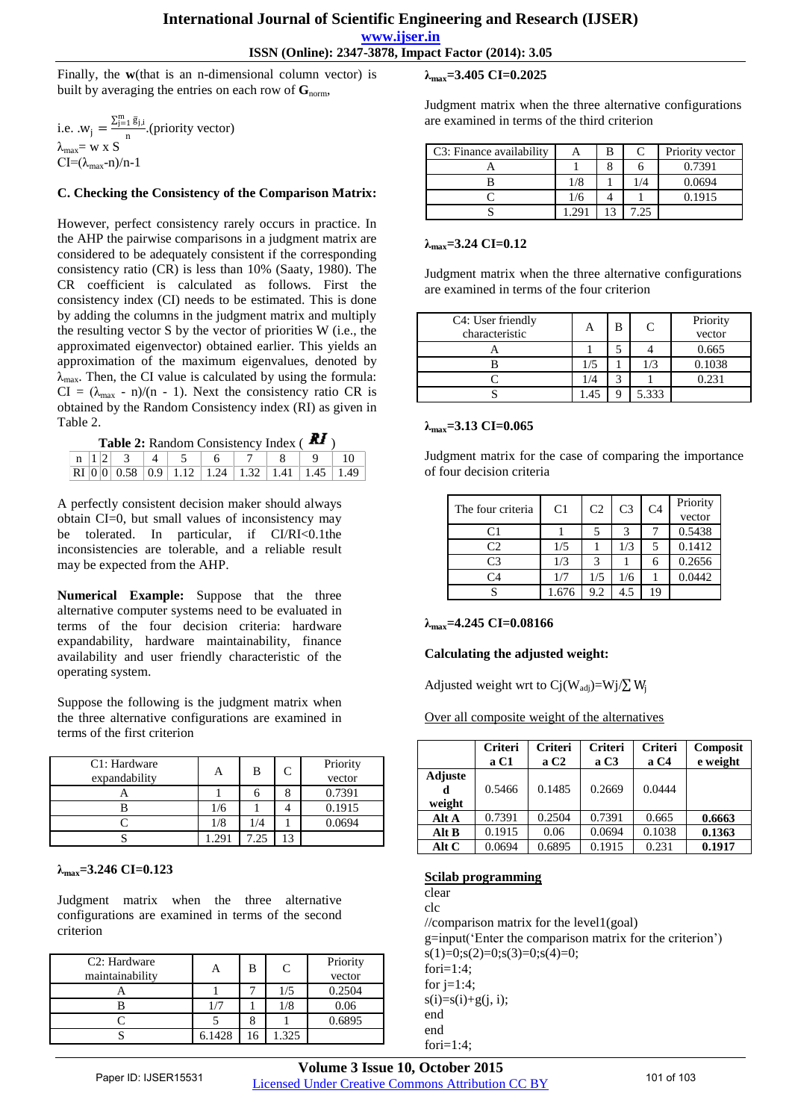## **International Journal of Scientific Engineering and Research (IJSER)**

**www.ijser.in**

**ISSN (Online): 2347-3878, Impact Factor (2014): 3.05**

Finally, the **w**(that is an n-dimensional column vector) is built by averaging the entries on each row of  $\mathbf{G}_{norm}$ ,

i.e.  $W_j = \frac{\sum_{j=1}^{m} \bar{g}_{j,i}}{n}$  $\frac{n^{(1, 1)}(n)}{n}$ . (priority vector)  $λ_{max} = w x S$  $CI=(\lambda_{\text{max}}-n)/n-1$ 

#### **C. Checking the Consistency of the Comparison Matrix:**

However, perfect consistency rarely occurs in practice. In the AHP the pairwise comparisons in a judgment matrix are considered to be adequately consistent if the corresponding consistency ratio (CR) is less than 10% (Saaty, 1980). The CR coefficient is calculated as follows. First the consistency index (CI) needs to be estimated. This is done by adding the columns in the judgment matrix and multiply the resulting vector S by the vector of priorities W (i.e., the approximated eigenvector) obtained earlier. This yields an approximation of the maximum eigenvalues, denoted by  $\lambda_{\text{max}}$ . Then, the CI value is calculated by using the formula:  $CI = (\lambda_{max} - n)/(n - 1)$ . Next the consistency ratio CR is obtained by the Random Consistency index (RI) as given in Table 2.

| Table 2: Random Consistency Index (KI |  |
|---------------------------------------|--|
|---------------------------------------|--|

|  |  |  | $\mathbb{R}$ I   0   0   0.58   0.9   1.12   1.24   1.32   1.41   1.45   1.49 |  |  |
|--|--|--|-------------------------------------------------------------------------------|--|--|

A perfectly consistent decision maker should always obtain CI=0, but small values of inconsistency may be tolerated. In particular, if CI/RI<0.1the inconsistencies are tolerable, and a reliable result may be expected from the AHP.

**Numerical Example:** Suppose that the three alternative computer systems need to be evaluated in terms of the four decision criteria: hardware expandability, hardware maintainability, finance availability and user friendly characteristic of the operating system.

Suppose the following is the judgment matrix when the three alternative configurations are examined in terms of the first criterion

| C1: Hardware<br>expandability | А            | B    | Priority<br>vector |
|-------------------------------|--------------|------|--------------------|
|                               |              |      | 0.7391             |
|                               | 1/6          |      | 0.1915             |
|                               | 1/8          | 1/4  | 0.0694             |
|                               | $29^{\circ}$ | 7.25 |                    |

#### **λmax=3.246 CI=0.123**

Judgment matrix when the three alternative configurations are examined in terms of the second criterion

| C <sub>2</sub> : Hardware<br>maintainability |        | B  | $\mathcal{C}_{\mathcal{C}}$ | Priority<br>vector |
|----------------------------------------------|--------|----|-----------------------------|--------------------|
|                                              |        |    | 1/5                         | 0.2504             |
|                                              |        |    |                             | 0.06               |
|                                              |        |    |                             | 0.6895             |
|                                              | 6.1428 | 16 | .325                        |                    |

**λmax=3.405 CI=0.2025** 

Judgment matrix when the three alternative configurations are examined in terms of the third criterion

| C3: Finance availability |     |      | Priority vector |
|--------------------------|-----|------|-----------------|
|                          |     |      | 0.7391          |
|                          | 1/8 | 1/4  | 0.0694          |
|                          | 1/6 |      | 0.1915          |
|                          |     | '.25 |                 |

**λmax=3.24 CI=0.12** 

Judgment matrix when the three alternative configurations are examined in terms of the four criterion

| C4: User friendly<br>characteristic |     | B | $\subset$ | Priority<br>vector |
|-------------------------------------|-----|---|-----------|--------------------|
|                                     |     |   |           | 0.665              |
|                                     |     |   | 1/3       | 0.1038             |
|                                     | 1/4 |   |           | 0.231              |
|                                     |     |   | 5.333     |                    |

#### **λmax=3.13 CI=0.065**

Judgment matrix for the case of comparing the importance of four decision criteria

| The four criteria | C <sub>1</sub> | C <sub>2</sub> | C <sub>3</sub> | C <sub>4</sub> | Priority |
|-------------------|----------------|----------------|----------------|----------------|----------|
|                   |                |                |                |                | vector   |
| $\mathsf{C}1$     |                |                |                |                | 0.5438   |
| $\mathcal{C}2$    | 1/5            |                | 1/3            |                | 0.1412   |
| C3                | 1/3            |                |                |                | 0.2656   |
| C <sub>4</sub>    | 1/7            | 1/5            | 1/6            |                | 0.0442   |
|                   | 1676           | 9.2            |                | 19             |          |

#### **λmax=4.245 CI=0.08166**

#### **Calculating the adjusted weight:**

Adjusted weight wrt to  $Ci(W_{adi})=Wi/\sum W_i$ 

Over all composite weight of the alternatives

|                               | <b>Criteri</b><br>a C1 | <b>Criteri</b><br>aC2 | <b>Criteri</b><br>aC3 | <b>Criteri</b><br>aC4 | Composit<br>e weight |
|-------------------------------|------------------------|-----------------------|-----------------------|-----------------------|----------------------|
| <b>Adjuste</b><br>d<br>weight | 0.5466                 | 0.1485                | 0.2669                | 0.0444                |                      |
| Alt A                         | 0.7391                 | 0.2504                | 0.7391                | 0.665                 | 0.6663               |
| Alt B                         | 0.1915                 | 0.06                  | 0.0694                | 0.1038                | 0.1363               |
| Alt $C$                       | 0.0694                 | 0.6895                | 0.1915                | 0.231                 | 0.1917               |

#### **Scilab programming**

clear clc //comparison matrix for the level1(goal) g=input("Enter the comparison matrix for the criterion")  $s(1)=0; s(2)=0; s(3)=0; s(4)=0;$ fori=1:4; for  $i=1:4$ :  $s(i)=s(i)+g(i, i);$ end end fori=1:4;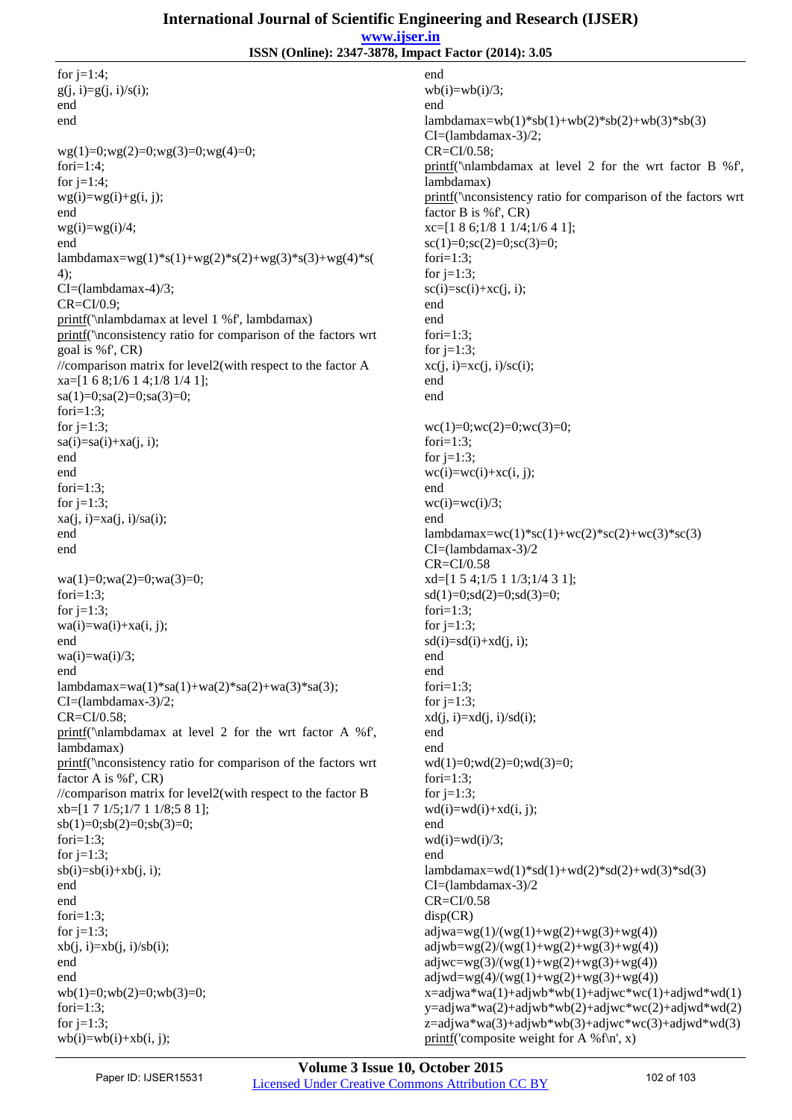## **International Journal of Scientific Engineering and Research (IJSER)**

**www.ijser.in**

**ISSN (Online): 2347-3878, Impact Factor (2014): 3.05**

for  $i=1:4$ ;  $g(j, i)=g(j, i)/s(i);$ end end  $wg(1)=0;wg(2)=0;wg(3)=0;wg(4)=0;$ fori=1:4; for  $i=1:4$ ;  $wg(i)=wg(i)+g(i, j);$ end  $wg(i)=wg(i)/4;$ end lambdamax=wg(1)\*s(1)+wg(2)\*s(2)+wg(3)\*s(3)+wg(4)\*s( 4); CI=(lambdamax-4)/3; CR=CI/0.9; printf('\nlambdamax at level 1 %f', lambdamax) printf('\nconsistency ratio for comparison of the factors wrt goal is %f', CR) //comparison matrix for level2(with respect to the factor A xa=[1 6 8;1/6 1 4;1/8 1/4 1];  $sa(1)=0; sa(2)=0; sa(3)=0;$ fori $=1:3$ ; for  $j=1:3$ ;  $sa(i)=sa(i)+xa(i, i);$ end end fori $=1:3$ : for  $j=1:3$ ;  $xa(i, i)=xa(i, i)/sa(i);$ end end wa(1)=0;wa(2)=0;wa(3)=0; fori=1:3; for  $i=1:3$ ;  $wa(i)=wa(i)+xa(i, j);$ end  $wa(i)=wa(i)/3;$ end lambdamax=wa(1)\*sa(1)+wa(2)\*sa(2)+wa(3)\*sa(3); CI=(lambdamax-3)/2; CR=CI/0.58; printf('\nlambdamax at level 2 for the wrt factor A %f', lambdamax) printf('\nconsistency ratio for comparison of the factors wrt factor A is %f', CR) //comparison matrix for level2(with respect to the factor B xb=[1 7 1/5;1/7 1 1/8;5 8 1];  $sb(1)=0;sb(2)=0;sb(3)=0;$ fori $=1:3$ : for  $i=1:3$ :  $sb(i)=sb(i)+xb(i, i);$ end end fori $=1:3$ ; for  $j=1:3$ ;  $xb(j, i)=xb(j, i)/sb(i);$ end end  $wb(1)=0;wb(2)=0;wb(3)=0;$ fori $=1:3$ ; for  $i=1:3$ ;  $wb(i)=wb(i)+xb(i, j);$ 

end  $wb(i)=wb(i)/3;$ end  $lambdamax=wb(1)*sb(1)+wb(2)*sb(2)+wb(3)*sb(3)$ CI=(lambdamax-3)/2; CR=CI/0.58; printf('\nlambdamax at level 2 for the wrt factor B %f', lambdamax) printf('\nconsistency ratio for comparison of the factors wrt factor B is %f', CR) xc=[1 8 6;1/8 1 1/4;1/6 4 1];  $\text{sc}(1)=0$ ; $\text{sc}(2)=0$ ; $\text{sc}(3)=0$ ; fori $=1:3$ : for  $j=1:3$ ;  $\text{sc}(i)=\text{sc}(i)+\text{xc}(i, i);$ end end fori=1:3; for  $j=1:3$ ;  $xc(i, i)=xc(i, i)/sc(i);$ end end  $wc(1)=0;wc(2)=0;wc(3)=0;$ fori $=1:3$ : for  $j=1:3$ ;  $wc(i)=wc(i)+xc(i, i);$ end  $wc(i)=wc(i)/3$ ; end lambdamax=wc(1)\*sc(1)+wc(2)\*sc(2)+wc(3)\*sc(3) CI=(lambdamax-3)/2 CR=CI/0.58 xd=[1 5 4;1/5 1 1/3;1/4 3 1];  $sd(1)=0; sd(2)=0; sd(3)=0;$ for $i=1:3$ : for  $j=1:3$ ;  $sd(i)=sd(i)+xd(j, i);$ end end fori=1:3; for  $j=1:3$ ;  $xd(j, i)=xd(j, i)/sd(i);$ end end wd(1)=0;wd(2)=0;wd(3)=0; fori=1:3; for  $j=1:3$ ;  $wd(i)=wd(i)+xd(i, i);$ end  $wd(i)=wd(i)/3;$ end  $lambda = wd(1)*sd(1)+wd(2)*sd(2)+wd(3)*sd(3)$ CI=(lambdamax-3)/2 CR=CI/0.58 disp(CR)  $\text{adjwa}=wg(1)/(wg(1)+wg(2)+wg(3)+wg(4))$  $adjwb=wg(2)/(wg(1)+wg(2)+wg(3)+wg(4))$  $\text{adjwc} = \frac{wg(3)}{(wg(1) + wg(2) + wg(3) + wg(4))}$  $\text{adjwd}=wg(4)/(wg(1)+wg(2)+wg(3)+wg(4))$  $x=$ adjwa\*wa $(1)+$ adjwb\*wb $(1)+$ adjwc\*wc $(1)+$ adjwd\*wd $(1)$ y=adjwa\*wa(2)+adjwb\*wb(2)+adjwc\*wc(2)+adjwd\*wd(2)  $z = \text{adjwa}^* \cdot \text{wal}(\text{adj} \cdot \text{vol}(\text{adj}) + \text{adj} \cdot \text{vol}(\text{adj}) + \text{adj} \cdot \text{vol}(\text{adj}) + \text{adj} \cdot \text{vol}(\text{adj}) + \text{adj} \cdot \text{vol}(\text{adj}) + \text{adj} \cdot \text{vol}(\text{adj}) + \text{adj} \cdot \text{vol}(\text{adj}) + \text{adj} \cdot \text{vol}(\text{adj}) + \text{adj} \cdot \text{vol}(\text{adj}) + \text{adj} \cdot \text{vol}(\text{adj}) + \text{adj} \cdot \text{vol}(\text{adj}) + \text{adj}$ printf('composite weight for A %f\n', x)